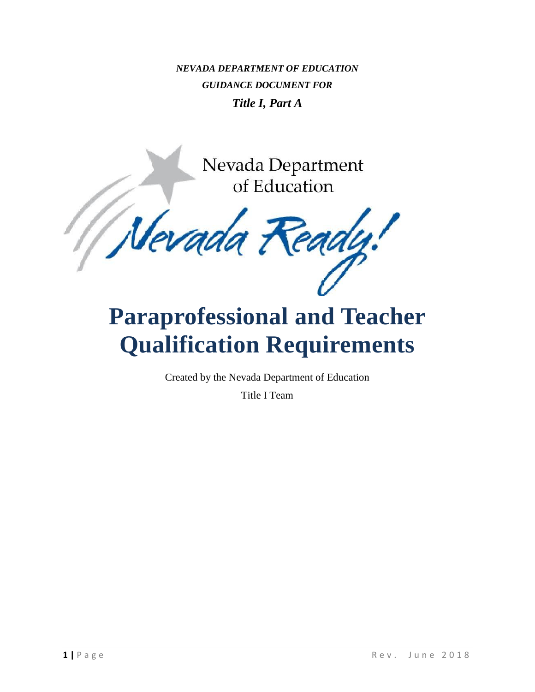*NEVADA DEPARTMENT OF EDUCATION GUIDANCE DOCUMENT FOR Title I, Part A*

> Nevada Department of Education

levada 7 cadi

# **Paraprofessional and Teacher Qualification Requirements**

Created by the Nevada Department of Education

Title I Team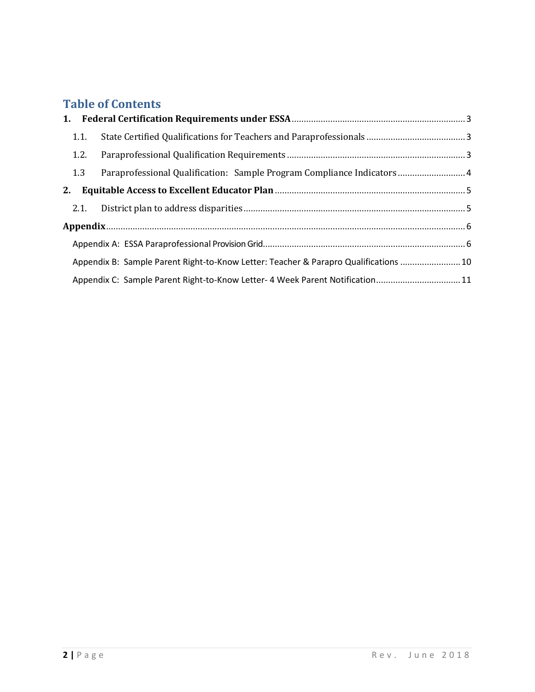# **Table of Contents**

| 1.1. |                                                                                      |  |
|------|--------------------------------------------------------------------------------------|--|
| 1.2. |                                                                                      |  |
| 1.3  | Paraprofessional Qualification: Sample Program Compliance Indicators 4               |  |
| 2.   |                                                                                      |  |
|      |                                                                                      |  |
|      |                                                                                      |  |
|      |                                                                                      |  |
|      | Appendix B: Sample Parent Right-to-Know Letter: Teacher & Parapro Qualifications  10 |  |
|      | Appendix C: Sample Parent Right-to-Know Letter- 4 Week Parent Notification 11        |  |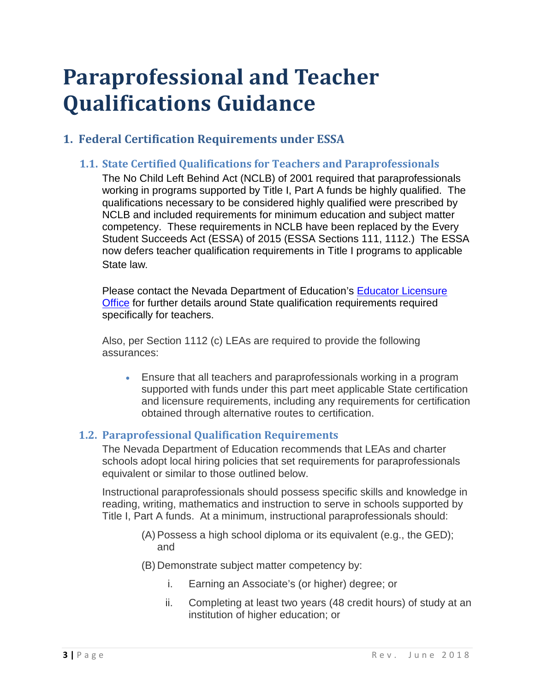# **Paraprofessional and Teacher Qualifications Guidance**

## <span id="page-2-1"></span><span id="page-2-0"></span>**1. Federal Certification Requirements under ESSA**

## **1.1. State Certified Qualifications for Teachers and Paraprofessionals**

The No Child Left Behind Act (NCLB) of 2001 required that paraprofessionals working in programs supported by Title I, Part A funds be highly qualified. The qualifications necessary to be considered highly qualified were prescribed by NCLB and included requirements for minimum education and subject matter competency. These requirements in NCLB have been replaced by the Every Student Succeeds Act (ESSA) of 2015 (ESSA Sections 111, 1112.) The ESSA now defers teacher qualification requirements in Title I programs to applicable State law.

Please contact the Nevada Department of Education's [Educator Licensure](http://www.doe.nv.gov/Educator_Licensure/)  [Office](http://www.doe.nv.gov/Educator_Licensure/) for further details around State qualification requirements required specifically for teachers.

Also, per Section 1112 (c) LEAs are required to provide the following assurances:

• Ensure that all teachers and paraprofessionals working in a program supported with funds under this part meet applicable State certification and licensure requirements, including any requirements for certification obtained through alternative routes to certification.

## <span id="page-2-2"></span>**1.2. Paraprofessional Qualification Requirements**

The Nevada Department of Education recommends that LEAs and charter schools adopt local hiring policies that set requirements for paraprofessionals equivalent or similar to those outlined below.

Instructional paraprofessionals should possess specific skills and knowledge in reading, writing, mathematics and instruction to serve in schools supported by Title I, Part A funds. At a minimum, instructional paraprofessionals should:

- (A) Possess a high school diploma or its equivalent (e.g., the GED); and
- (B) Demonstrate subject matter competency by:
	- i. Earning an Associate's (or higher) degree; or
	- ii. Completing at least two years (48 credit hours) of study at an institution of higher education; or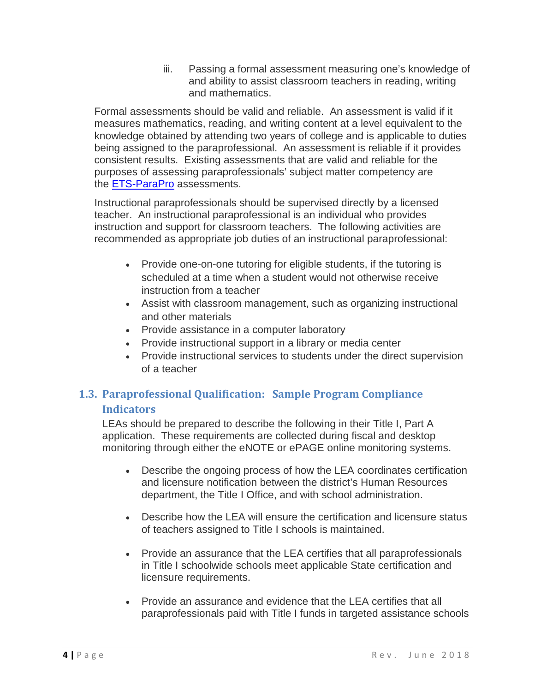iii. Passing a formal assessment measuring one's knowledge of and ability to assist classroom teachers in reading, writing and mathematics.

Formal assessments should be valid and reliable. An assessment is valid if it measures mathematics, reading, and writing content at a level equivalent to the knowledge obtained by attending two years of college and is applicable to duties being assigned to the paraprofessional. An assessment is reliable if it provides consistent results. Existing assessments that are valid and reliable for the purposes of assessing paraprofessionals' subject matter competency are the **ETS-ParaPro** assessments.

Instructional paraprofessionals should be supervised directly by a licensed teacher. An instructional paraprofessional is an individual who provides instruction and support for classroom teachers. The following activities are recommended as appropriate job duties of an instructional paraprofessional:

- Provide one-on-one tutoring for eligible students, if the tutoring is scheduled at a time when a student would not otherwise receive instruction from a teacher
- Assist with classroom management, such as organizing instructional and other materials
- Provide assistance in a computer laboratory
- Provide instructional support in a library or media center
- Provide instructional services to students under the direct supervision of a teacher

## <span id="page-3-0"></span>**1.3. Paraprofessional Qualification: Sample Program Compliance Indicators**

LEAs should be prepared to describe the following in their Title I, Part A application. These requirements are collected during fiscal and desktop monitoring through either the eNOTE or ePAGE online monitoring systems.

- Describe the ongoing process of how the LEA coordinates certification and licensure notification between the district's Human Resources department, the Title I Office, and with school administration.
- Describe how the LEA will ensure the certification and licensure status of teachers assigned to Title I schools is maintained.
- Provide an assurance that the LEA certifies that all paraprofessionals in Title I schoolwide schools meet applicable State certification and licensure requirements.
- Provide an assurance and evidence that the LEA certifies that all paraprofessionals paid with Title I funds in targeted assistance schools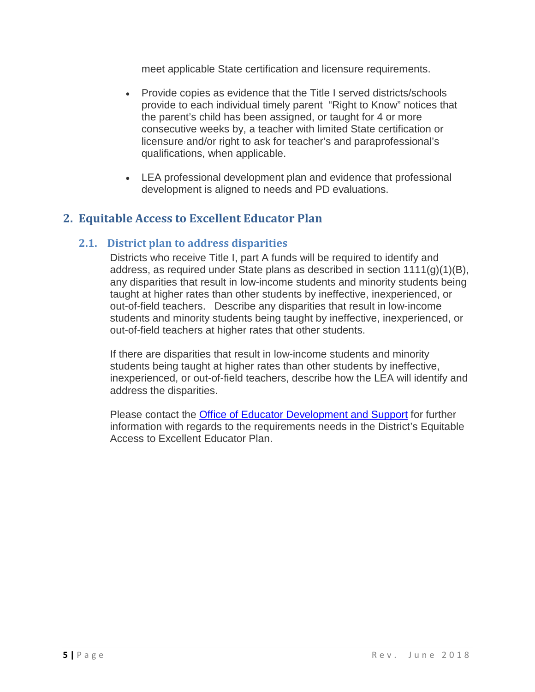meet applicable State certification and licensure requirements.

- Provide copies as evidence that the Title I served districts/schools provide to each individual timely parent "Right to Know" notices that the parent's child has been assigned, or taught for 4 or more consecutive weeks by, a teacher with limited State certification or licensure and/or right to ask for teacher's and paraprofessional's qualifications, when applicable.
- LEA professional development plan and evidence that professional development is aligned to needs and PD evaluations.

## <span id="page-4-0"></span>**2. Equitable Access to Excellent Educator Plan**

## **2.1. District plan to address disparities**

<span id="page-4-1"></span>Districts who receive Title I, part A funds will be required to identify and address, as required under State plans as described in section 1111(g)(1)(B), any disparities that result in low-income students and minority students being taught at higher rates than other students by ineffective, inexperienced, or out-of-field teachers. Describe any disparities that result in low-income students and minority students being taught by ineffective, inexperienced, or out-of-field teachers at higher rates that other students.

If there are disparities that result in low-income students and minority students being taught at higher rates than other students by ineffective, inexperienced, or out-of-field teachers, describe how the LEA will identify and address the disparities.

Please contact the [Office of Educator Development and Support](http://www.doe.nv.gov/Educator_Development_and_Support/) for further information with regards to the requirements needs in the District's Equitable Access to Excellent Educator Plan.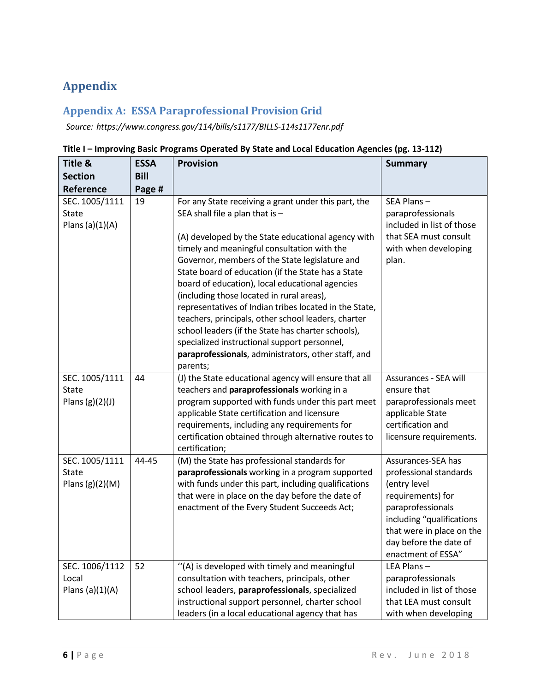# <span id="page-5-0"></span>**Appendix**

## <span id="page-5-1"></span>**Appendix A: ESSA Paraprofessional Provision Grid**

*Source: https:[//www](http://www.congress.gov/114/bills/s1177/BILLS-114s1177enr.pdf).congress.gov/114/bills/s1177/BILLS-114s1177enr.pdf*

| Title &                                             | <b>ESSA</b> | <b>Provision</b>                                                                                                                                                                                                                                                                                                                                                                                                                                                                                                                                                                                                                                                                                 | <b>Summary</b>                                                                                                                                                                                                   |
|-----------------------------------------------------|-------------|--------------------------------------------------------------------------------------------------------------------------------------------------------------------------------------------------------------------------------------------------------------------------------------------------------------------------------------------------------------------------------------------------------------------------------------------------------------------------------------------------------------------------------------------------------------------------------------------------------------------------------------------------------------------------------------------------|------------------------------------------------------------------------------------------------------------------------------------------------------------------------------------------------------------------|
| <b>Section</b>                                      | <b>Bill</b> |                                                                                                                                                                                                                                                                                                                                                                                                                                                                                                                                                                                                                                                                                                  |                                                                                                                                                                                                                  |
| Reference                                           | Page #      |                                                                                                                                                                                                                                                                                                                                                                                                                                                                                                                                                                                                                                                                                                  |                                                                                                                                                                                                                  |
| SEC. 1005/1111<br><b>State</b><br>Plans $(a)(1)(A)$ | 19          | For any State receiving a grant under this part, the<br>SEA shall file a plan that is $-$<br>(A) developed by the State educational agency with<br>timely and meaningful consultation with the<br>Governor, members of the State legislature and<br>State board of education (if the State has a State<br>board of education), local educational agencies<br>(including those located in rural areas),<br>representatives of Indian tribes located in the State,<br>teachers, principals, other school leaders, charter<br>school leaders (if the State has charter schools),<br>specialized instructional support personnel,<br>paraprofessionals, administrators, other staff, and<br>parents; | SEA Plans-<br>paraprofessionals<br>included in list of those<br>that SEA must consult<br>with when developing<br>plan.                                                                                           |
| SEC. 1005/1111<br><b>State</b><br>Plans $(g)(2)(J)$ | 44          | (J) the State educational agency will ensure that all<br>teachers and paraprofessionals working in a<br>program supported with funds under this part meet<br>applicable State certification and licensure<br>requirements, including any requirements for<br>certification obtained through alternative routes to<br>certification;                                                                                                                                                                                                                                                                                                                                                              | Assurances - SEA will<br>ensure that<br>paraprofessionals meet<br>applicable State<br>certification and<br>licensure requirements.                                                                               |
| SEC. 1005/1111<br><b>State</b><br>Plans $(g)(2)(M)$ | 44-45       | (M) the State has professional standards for<br>paraprofessionals working in a program supported<br>with funds under this part, including qualifications<br>that were in place on the day before the date of<br>enactment of the Every Student Succeeds Act;                                                                                                                                                                                                                                                                                                                                                                                                                                     | Assurances-SEA has<br>professional standards<br>(entry level<br>requirements) for<br>paraprofessionals<br>including "qualifications<br>that were in place on the<br>day before the date of<br>enactment of ESSA" |
| SEC. 1006/1112<br>Local<br>Plans $(a)(1)(A)$        | 52          | "(A) is developed with timely and meaningful<br>consultation with teachers, principals, other<br>school leaders, paraprofessionals, specialized<br>instructional support personnel, charter school<br>leaders (in a local educational agency that has                                                                                                                                                                                                                                                                                                                                                                                                                                            | LEA Plans-<br>paraprofessionals<br>included in list of those<br>that LEA must consult<br>with when developing                                                                                                    |

### **Title I – Improving Basic Programs Operated By State and Local Education Agencies (pg. 13-112)**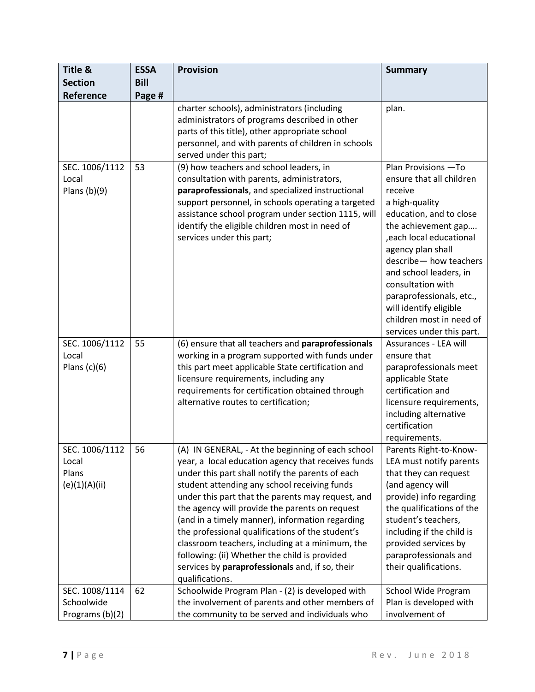| Title &                                           | <b>ESSA</b> | <b>Provision</b>                                                                                                                                                                                                                                                                                                                                                                                                                                                                                                                                                                                    | <b>Summary</b>                                                                                                                                                                                                                                                                                                                                                          |
|---------------------------------------------------|-------------|-----------------------------------------------------------------------------------------------------------------------------------------------------------------------------------------------------------------------------------------------------------------------------------------------------------------------------------------------------------------------------------------------------------------------------------------------------------------------------------------------------------------------------------------------------------------------------------------------------|-------------------------------------------------------------------------------------------------------------------------------------------------------------------------------------------------------------------------------------------------------------------------------------------------------------------------------------------------------------------------|
| <b>Section</b>                                    | <b>Bill</b> |                                                                                                                                                                                                                                                                                                                                                                                                                                                                                                                                                                                                     |                                                                                                                                                                                                                                                                                                                                                                         |
| Reference                                         | Page #      |                                                                                                                                                                                                                                                                                                                                                                                                                                                                                                                                                                                                     |                                                                                                                                                                                                                                                                                                                                                                         |
|                                                   |             | charter schools), administrators (including<br>administrators of programs described in other<br>parts of this title), other appropriate school<br>personnel, and with parents of children in schools<br>served under this part;                                                                                                                                                                                                                                                                                                                                                                     | plan.                                                                                                                                                                                                                                                                                                                                                                   |
| SEC. 1006/1112<br>Local<br>Plans $(b)(9)$         | 53          | (9) how teachers and school leaders, in<br>consultation with parents, administrators,<br>paraprofessionals, and specialized instructional<br>support personnel, in schools operating a targeted<br>assistance school program under section 1115, will<br>identify the eligible children most in need of<br>services under this part;                                                                                                                                                                                                                                                                | Plan Provisions - To<br>ensure that all children<br>receive<br>a high-quality<br>education, and to close<br>the achievement gap<br>, each local educational<br>agency plan shall<br>describe-how teachers<br>and school leaders, in<br>consultation with<br>paraprofessionals, etc.,<br>will identify eligible<br>children most in need of<br>services under this part. |
| SEC. 1006/1112<br>Local<br>Plans $(c)(6)$         | 55          | (6) ensure that all teachers and paraprofessionals<br>working in a program supported with funds under<br>this part meet applicable State certification and<br>licensure requirements, including any<br>requirements for certification obtained through<br>alternative routes to certification;                                                                                                                                                                                                                                                                                                      | Assurances - LEA will<br>ensure that<br>paraprofessionals meet<br>applicable State<br>certification and<br>licensure requirements,<br>including alternative<br>certification<br>requirements.                                                                                                                                                                           |
| SEC. 1006/1112<br>Local<br>Plans<br>(e)(1)(A)(ii) | 56          | (A) IN GENERAL, - At the beginning of each school<br>year, a local education agency that receives funds<br>under this part shall notify the parents of each<br>student attending any school receiving funds<br>under this part that the parents may request, and<br>the agency will provide the parents on request<br>(and in a timely manner), information regarding<br>the professional qualifications of the student's<br>classroom teachers, including at a minimum, the<br>following: (ii) Whether the child is provided<br>services by paraprofessionals and, if so, their<br>qualifications. | Parents Right-to-Know-<br>LEA must notify parents<br>that they can request<br>(and agency will<br>provide) info regarding<br>the qualifications of the<br>student's teachers,<br>including if the child is<br>provided services by<br>paraprofessionals and<br>their qualifications.                                                                                    |
| SEC. 1008/1114<br>Schoolwide<br>Programs (b)(2)   | 62          | Schoolwide Program Plan - (2) is developed with<br>the involvement of parents and other members of<br>the community to be served and individuals who                                                                                                                                                                                                                                                                                                                                                                                                                                                | School Wide Program<br>Plan is developed with<br>involvement of                                                                                                                                                                                                                                                                                                         |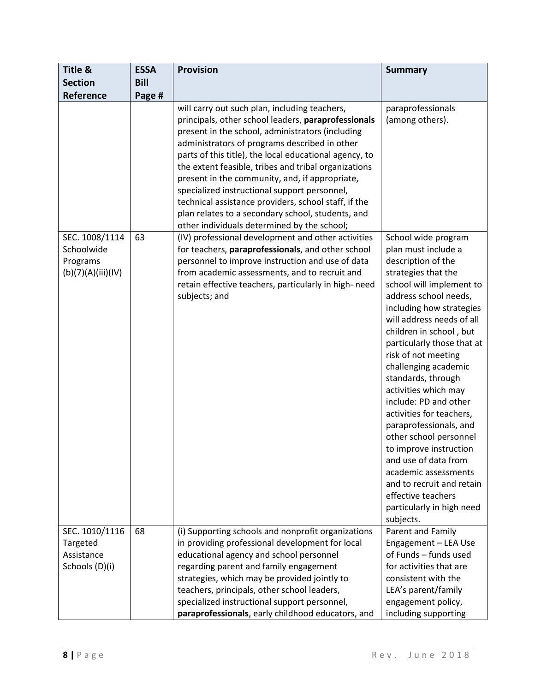| <b>Title &amp;</b>                                             | <b>ESSA</b> | <b>Provision</b>                                                                                                                                                                                                                                                                                                                                                                                                                                                                                                                                                                          | <b>Summary</b>                                                                                                                                                                                                                                                                                                                                                                                                                                                                                                                                                                                                                              |
|----------------------------------------------------------------|-------------|-------------------------------------------------------------------------------------------------------------------------------------------------------------------------------------------------------------------------------------------------------------------------------------------------------------------------------------------------------------------------------------------------------------------------------------------------------------------------------------------------------------------------------------------------------------------------------------------|---------------------------------------------------------------------------------------------------------------------------------------------------------------------------------------------------------------------------------------------------------------------------------------------------------------------------------------------------------------------------------------------------------------------------------------------------------------------------------------------------------------------------------------------------------------------------------------------------------------------------------------------|
| <b>Section</b>                                                 | <b>Bill</b> |                                                                                                                                                                                                                                                                                                                                                                                                                                                                                                                                                                                           |                                                                                                                                                                                                                                                                                                                                                                                                                                                                                                                                                                                                                                             |
| Reference                                                      | Page #      |                                                                                                                                                                                                                                                                                                                                                                                                                                                                                                                                                                                           |                                                                                                                                                                                                                                                                                                                                                                                                                                                                                                                                                                                                                                             |
|                                                                |             | will carry out such plan, including teachers,<br>principals, other school leaders, paraprofessionals<br>present in the school, administrators (including<br>administrators of programs described in other<br>parts of this title), the local educational agency, to<br>the extent feasible, tribes and tribal organizations<br>present in the community, and, if appropriate,<br>specialized instructional support personnel,<br>technical assistance providers, school staff, if the<br>plan relates to a secondary school, students, and<br>other individuals determined by the school; | paraprofessionals<br>(among others).                                                                                                                                                                                                                                                                                                                                                                                                                                                                                                                                                                                                        |
| SEC. 1008/1114<br>Schoolwide<br>Programs<br>(b)(7)(A)(iii)(IV) | 63          | (IV) professional development and other activities<br>for teachers, paraprofessionals, and other school<br>personnel to improve instruction and use of data<br>from academic assessments, and to recruit and<br>retain effective teachers, particularly in high- need<br>subjects; and                                                                                                                                                                                                                                                                                                    | School wide program<br>plan must include a<br>description of the<br>strategies that the<br>school will implement to<br>address school needs,<br>including how strategies<br>will address needs of all<br>children in school, but<br>particularly those that at<br>risk of not meeting<br>challenging academic<br>standards, through<br>activities which may<br>include: PD and other<br>activities for teachers,<br>paraprofessionals, and<br>other school personnel<br>to improve instruction<br>and use of data from<br>academic assessments<br>and to recruit and retain<br>effective teachers<br>particularly in high need<br>subjects. |
| SEC. 1010/1116<br>Targeted<br>Assistance<br>Schools (D)(i)     | 68          | (i) Supporting schools and nonprofit organizations<br>in providing professional development for local<br>educational agency and school personnel<br>regarding parent and family engagement<br>strategies, which may be provided jointly to<br>teachers, principals, other school leaders,<br>specialized instructional support personnel,<br>paraprofessionals, early childhood educators, and                                                                                                                                                                                            | Parent and Family<br>Engagement - LEA Use<br>of Funds - funds used<br>for activities that are<br>consistent with the<br>LEA's parent/family<br>engagement policy,<br>including supporting                                                                                                                                                                                                                                                                                                                                                                                                                                                   |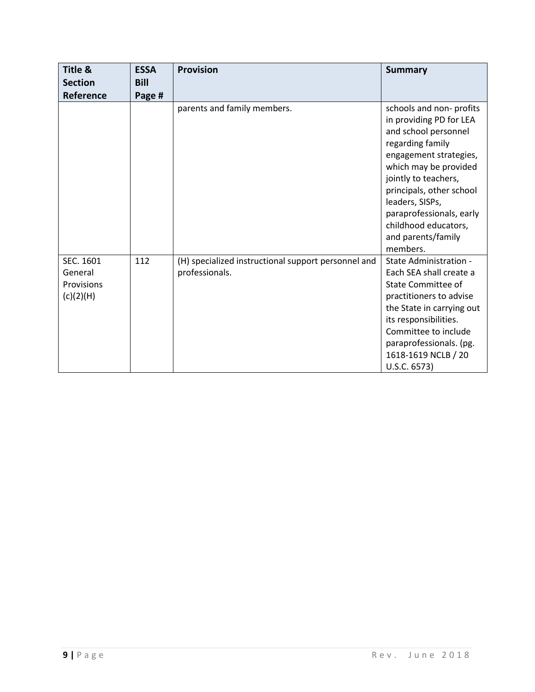| Title &                                         | <b>ESSA</b> | <b>Provision</b>                                                      | <b>Summary</b>                                                                                                                                                                                                                                                                                                 |
|-------------------------------------------------|-------------|-----------------------------------------------------------------------|----------------------------------------------------------------------------------------------------------------------------------------------------------------------------------------------------------------------------------------------------------------------------------------------------------------|
| <b>Section</b>                                  | <b>Bill</b> |                                                                       |                                                                                                                                                                                                                                                                                                                |
| Reference                                       | Page #      |                                                                       |                                                                                                                                                                                                                                                                                                                |
|                                                 |             | parents and family members.                                           | schools and non-profits<br>in providing PD for LEA<br>and school personnel<br>regarding family<br>engagement strategies,<br>which may be provided<br>jointly to teachers,<br>principals, other school<br>leaders, SISPs,<br>paraprofessionals, early<br>childhood educators,<br>and parents/family<br>members. |
| SEC. 1601<br>General<br>Provisions<br>(c)(2)(H) | 112         | (H) specialized instructional support personnel and<br>professionals. | State Administration -<br>Each SEA shall create a<br><b>State Committee of</b><br>practitioners to advise<br>the State in carrying out<br>its responsibilities.<br>Committee to include<br>paraprofessionals. (pg.<br>1618-1619 NCLB / 20<br>U.S.C. 6573)                                                      |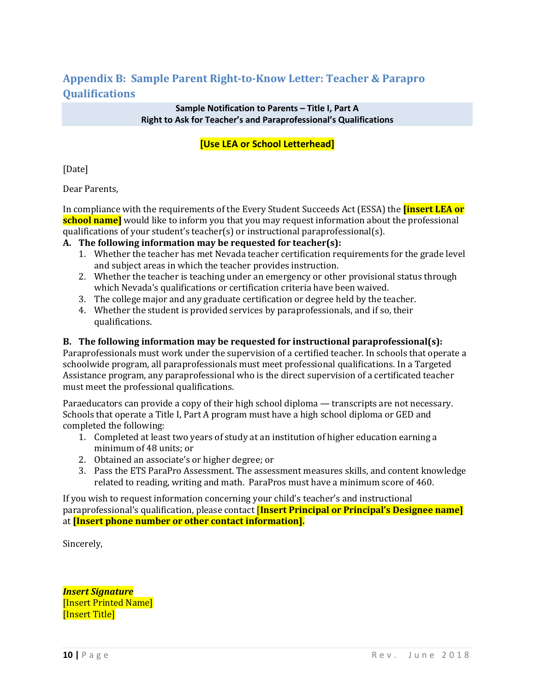## **Appendix B: Sample Parent Right-to-Know Letter: Teacher & Parapro Qualifications**

#### **Sample Notification to Parents – Title I, Part A Right to Ask for Teacher's and Paraprofessional's Qualifications**

## **[Use LEA or School Letterhead]**

[Date]

Dear Parents,

In compliance with the requirements of the Every Student Succeeds Act (ESSA) the **[insert LEA or school name]** would like to inform you that you may request information about the professional qualifications of your student's teacher(s) or instructional paraprofessional(s).

### **A. The following information may be requested for teacher(s):**

- 1. Whether the teacher has met Nevada teacher certification requirements for the grade level and subject areas in which the teacher provides instruction.
- 2. Whether the teacher is teaching under an emergency or other provisional status through which Nevada's qualifications or certification criteria have been waived.
- 3. The college major and any graduate certification or degree held by the teacher.
- 4. Whether the student is provided services by paraprofessionals, and if so, their qualifications.

### **B. The following information may be requested for instructional paraprofessional(s):**

Paraprofessionals must work under the supervision of a certified teacher. In schools that operate a schoolwide program, all paraprofessionals must meet professional qualifications. In a Targeted Assistance program, any paraprofessional who is the direct supervision of a certificated teacher must meet the professional qualifications.

Paraeducators can provide a copy of their high school diploma — transcripts are not necessary. Schools that operate a Title I, Part A program must have a high school diploma or GED and completed the following:

- 1. Completed at least two years of study at an institution of higher education earning a minimum of 48 units; or
- 2. Obtained an associate's or higher degree; or
- 3. Pass the ETS ParaPro Assessment. The assessment measures skills, and content knowledge related to reading, writing and math. ParaPros must have a minimum score of 460.

If you wish to request information concerning your child's teacher's and instructional paraprofessional's qualification, please contact [**Insert Principal or Principal's Designee name]** at **[Insert phone number or other contact information].**

Sincerely,

*Insert Signature* [Insert Printed Name] [Insert Title]